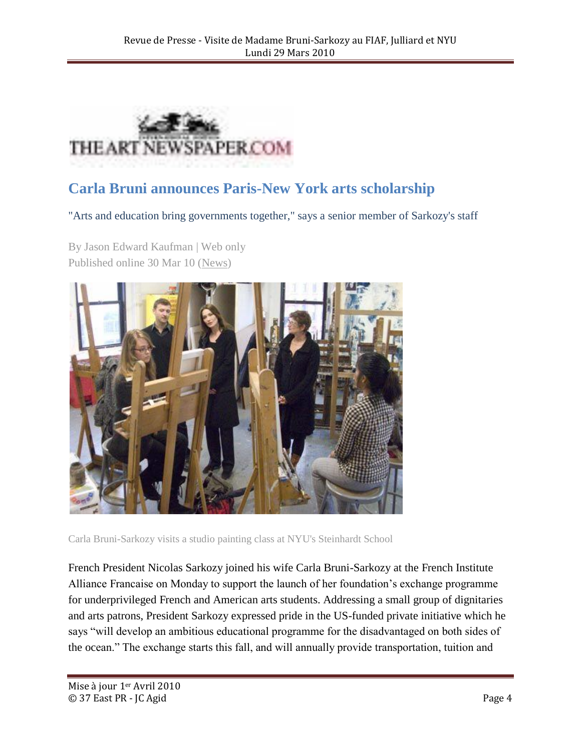

## **Carla Bruni announces Paris-New York arts scholarship**

"Arts and education bring governments together," says a senior member of Sarkozy's staff

By Jason Edward Kaufman | Web only Published online 30 Mar 10 [\(News\)](http://www.theartnewspaper.com/news)



Carla Bruni-Sarkozy visits a studio painting class at NYU's Steinhardt School

French President Nicolas Sarkozy joined his wife Carla Bruni-Sarkozy at the French Institute Alliance Francaise on Monday to support the launch of her foundation's exchange programme for underprivileged French and American arts students. Addressing a small group of dignitaries and arts patrons, President Sarkozy expressed pride in the US-funded private initiative which he says "will develop an ambitious educational programme for the disadvantaged on both sides of the ocean.‖ The exchange starts this fall, and will annually provide transportation, tuition and